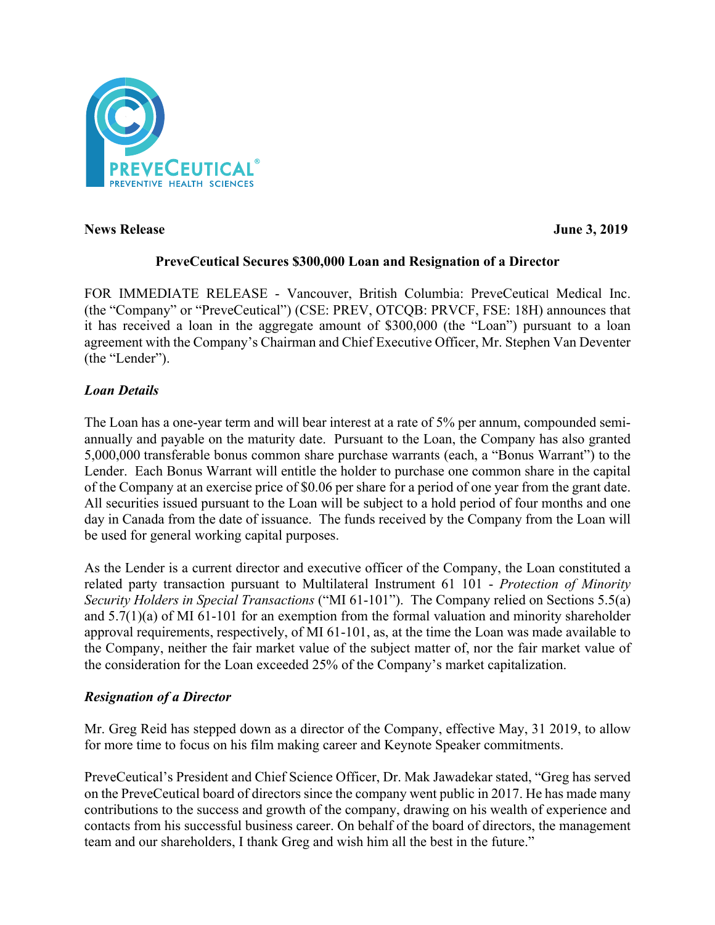

**News Release June 3, 2019** 

## **PreveCeutical Secures \$300,000 Loan and Resignation of a Director**

FOR IMMEDIATE RELEASE - Vancouver, British Columbia: PreveCeutical Medical Inc. (the "Company" or "PreveCeutical") (CSE: PREV, OTCQB: PRVCF, FSE: 18H) announces that it has received a loan in the aggregate amount of \$300,000 (the "Loan") pursuant to a loan agreement with the Company's Chairman and Chief Executive Officer, Mr. Stephen Van Deventer (the "Lender").

### *Loan Details*

The Loan has a one-year term and will bear interest at a rate of 5% per annum, compounded semiannually and payable on the maturity date. Pursuant to the Loan, the Company has also granted 5,000,000 transferable bonus common share purchase warrants (each, a "Bonus Warrant") to the Lender. Each Bonus Warrant will entitle the holder to purchase one common share in the capital of the Company at an exercise price of \$0.06 per share for a period of one year from the grant date. All securities issued pursuant to the Loan will be subject to a hold period of four months and one day in Canada from the date of issuance. The funds received by the Company from the Loan will be used for general working capital purposes.

As the Lender is a current director and executive officer of the Company, the Loan constituted a related party transaction pursuant to Multilateral Instrument 61 101 - *Protection of Minority Security Holders in Special Transactions* ("MI 61-101"). The Company relied on Sections 5.5(a) and 5.7(1)(a) of MI 61-101 for an exemption from the formal valuation and minority shareholder approval requirements, respectively, of MI 61-101, as, at the time the Loan was made available to the Company, neither the fair market value of the subject matter of, nor the fair market value of the consideration for the Loan exceeded 25% of the Company's market capitalization.

# *Resignation of a Director*

Mr. Greg Reid has stepped down as a director of the Company, effective May, 31 2019, to allow for more time to focus on his film making career and Keynote Speaker commitments.

PreveCeutical's President and Chief Science Officer, Dr. Mak Jawadekar stated, "Greg has served on the PreveCeutical board of directors since the company went public in 2017. He has made many contributions to the success and growth of the company, drawing on his wealth of experience and contacts from his successful business career. On behalf of the board of directors, the management team and our shareholders, I thank Greg and wish him all the best in the future."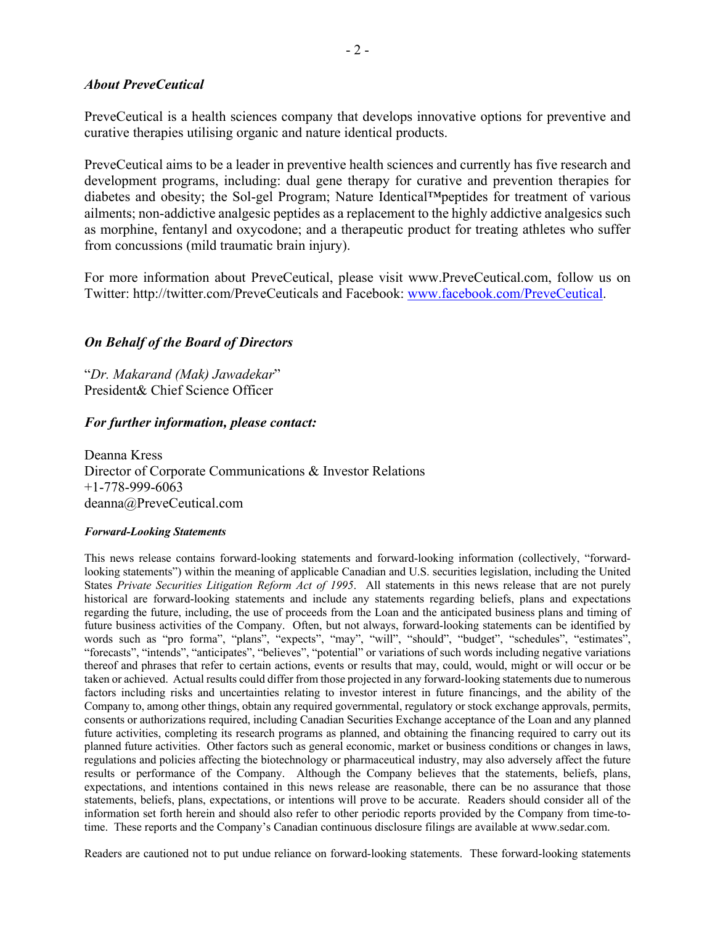### *About PreveCeutical*

PreveCeutical is a health sciences company that develops innovative options for preventive and curative therapies utilising organic and nature identical products.

PreveCeutical aims to be a leader in preventive health sciences and currently has five research and development programs, including: dual gene therapy for curative and prevention therapies for diabetes and obesity; the Sol-gel Program; Nature Identical™peptides for treatment of various ailments; non-addictive analgesic peptides as a replacement to the highly addictive analgesics such as morphine, fentanyl and oxycodone; and a therapeutic product for treating athletes who suffer from concussions (mild traumatic brain injury).

For more information about PreveCeutical, please visit www.PreveCeutical.com, follow us on Twitter: http://twitter.com/PreveCeuticals and Facebook: www.facebook.com/PreveCeutical.

### *On Behalf of the Board of Directors*

"*Dr. Makarand (Mak) Jawadekar*" President& Chief Science Officer

#### *For further information, please contact:*

Deanna Kress Director of Corporate Communications & Investor Relations +1-778-999-6063 deanna@PreveCeutical.com

#### *Forward-Looking Statements*

This news release contains forward-looking statements and forward-looking information (collectively, "forwardlooking statements") within the meaning of applicable Canadian and U.S. securities legislation, including the United States *Private Securities Litigation Reform Act of 1995*. All statements in this news release that are not purely historical are forward-looking statements and include any statements regarding beliefs, plans and expectations regarding the future, including, the use of proceeds from the Loan and the anticipated business plans and timing of future business activities of the Company. Often, but not always, forward-looking statements can be identified by words such as "pro forma", "plans", "expects", "may", "will", "should", "budget", "schedules", "estimates", "forecasts", "intends", "anticipates", "believes", "potential" or variations of such words including negative variations thereof and phrases that refer to certain actions, events or results that may, could, would, might or will occur or be taken or achieved. Actual results could differ from those projected in any forward-looking statements due to numerous factors including risks and uncertainties relating to investor interest in future financings, and the ability of the Company to, among other things, obtain any required governmental, regulatory or stock exchange approvals, permits, consents or authorizations required, including Canadian Securities Exchange acceptance of the Loan and any planned future activities, completing its research programs as planned, and obtaining the financing required to carry out its planned future activities. Other factors such as general economic, market or business conditions or changes in laws, regulations and policies affecting the biotechnology or pharmaceutical industry, may also adversely affect the future results or performance of the Company. Although the Company believes that the statements, beliefs, plans, expectations, and intentions contained in this news release are reasonable, there can be no assurance that those statements, beliefs, plans, expectations, or intentions will prove to be accurate. Readers should consider all of the information set forth herein and should also refer to other periodic reports provided by the Company from time-totime. These reports and the Company's Canadian continuous disclosure filings are available at www.sedar.com.

Readers are cautioned not to put undue reliance on forward-looking statements. These forward-looking statements